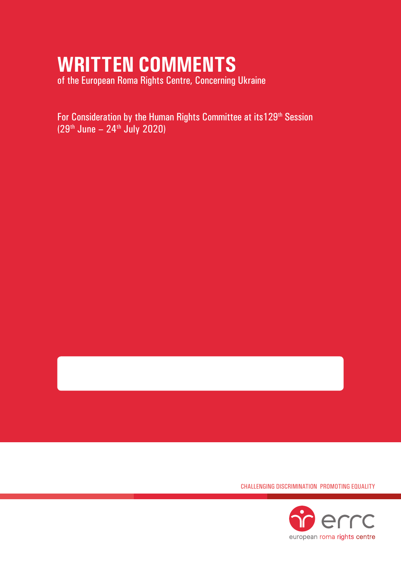# **WRITTEN COMMENTS**

of the European Roma Rights Centre, Concerning Ukraine

For Consideration by the Human Rights Committee at its129<sup>th</sup> Session  $(29<sup>th</sup>$  June – 24<sup>th</sup> July 2020)



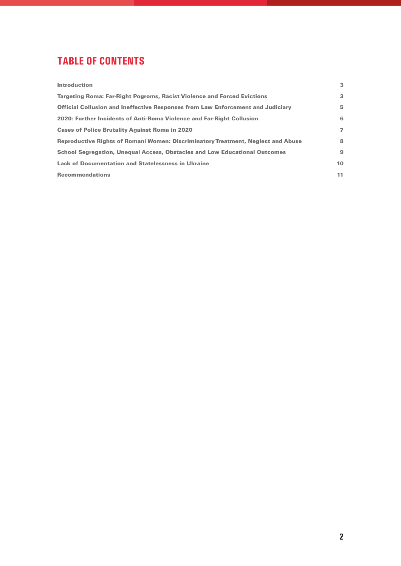## **TABLE OF CONTENTS**

| <b>Introduction</b>                                                                    | 3              |
|----------------------------------------------------------------------------------------|----------------|
| <b>Targeting Roma: Far-Right Pogroms, Racist Violence and Forced Evictions</b>         | 3              |
| <b>Official Collusion and Ineffective Responses from Law Enforcement and Judiciary</b> | 5.             |
| 2020: Further Incidents of Anti-Roma Violence and Far-Right Collusion                  | 6              |
| <b>Cases of Police Brutality Against Roma in 2020</b>                                  | $\overline{ }$ |
| Reproductive Rights of Romani Women: Discriminatory Treatment, Neglect and Abuse       | 8              |
| School Segregation, Unequal Access, Obstacles and Low Educational Outcomes             | 9              |
| <b>Lack of Documentation and Statelessness in Ukraine</b>                              | 10             |
| <b>Recommendations</b>                                                                 | 11             |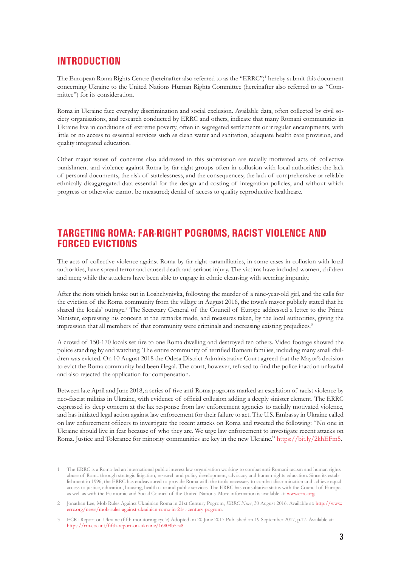#### **INTRODUCTION**

The European Roma Rights Centre (hereinafter also referred to as the "ERRC")<sup>1</sup> hereby submit this document concerning Ukraine to the United Nations Human Rights Committee (hereinafter also referred to as "Committee") for its consideration.

Roma in Ukraine face everyday discrimination and social exclusion. Available data, often collected by civil society organisations, and research conducted by ERRC and others, indicate that many Romani communities in Ukraine live in conditions of extreme poverty, often in segregated settlements or irregular encampments, with little or no access to essential services such as clean water and sanitation, adequate health care provision, and quality integrated education.

Other major issues of concerns also addressed in this submission are racially motivated acts of collective punishment and violence against Roma by far right groups often in collusion with local authorities; the lack of personal documents, the risk of statelessness, and the consequences; the lack of comprehensive or reliable ethnically disaggregated data essential for the design and costing of integration policies, and without which progress or otherwise cannot be measured; denial of access to quality reproductive healthcare.

#### **TARGETING ROMA: FAR-RIGHT POGROMS, RACIST VIOLENCE AND FORCED EVICTIONS**

The acts of collective violence against Roma by far-right paramilitaries, in some cases in collusion with local authorities, have spread terror and caused death and serious injury. The victims have included women, children and men; while the attackers have been able to engage in ethnic cleansing with seeming impunity.

After the riots which broke out in Loshchynivka, following the murder of a nine-year-old girl, and the calls for the eviction of the Roma community from the village in August 2016, the town's mayor publicly stated that he shared the locals' outrage.<sup>2</sup> The Secretary General of the Council of Europe addressed a letter to the Prime Minister, expressing his concern at the remarks made, and measures taken, by the local authorities, giving the impression that all members of that community were criminals and increasing existing prejudices.<sup>3</sup>

A crowd of 150-170 locals set fire to one Roma dwelling and destroyed ten others. Video footage showed the police standing by and watching. The entire community of terrified Romani families, including many small children was evicted. On 10 August 2018 the Odesa District Administrative Court agreed that the Mayor's decision to evict the Roma community had been illegal. The court, however, refused to find the police inaction unlawful and also rejected the application for compensation.

Between late April and June 2018, a series of five anti-Roma pogroms marked an escalation of racist violence by neo-fascist militias in Ukraine, with evidence of official collusion adding a deeply sinister element. The ERRC expressed its deep concern at the lax response from law enforcement agencies to racially motivated violence, and has initiated legal action against law enforcement for their failure to act. The U.S. Embassy in Ukraine called on law enforcement officers to investigate the recent attacks on Roma and tweeted the following: "No one in Ukraine should live in fear because of who they are. We urge law enforcement to investigate recent attacks on Roma. Justice and Tolerance for minority communities are key in the new Ukraine." <https://bit.ly/2khEFm5>.

<sup>1</sup> The ERRC is a Roma-led an international public interest law organisation working to combat anti-Romani racism and human rights abuse of Roma through strategic litigation, research and policy development, advocacy and human rights education. Since its establishment in 1996, the ERRC has endeavoured to provide Roma with the tools necessary to combat discrimination and achieve equal access to justice, education, housing, health care and public services. The ERRC has consultative status with the Council of Europe, as well as with the Economic and Social Council of the United Nations. More information is available at: [www.errc.org.](www.errc.org)

<sup>2</sup> Jonathan Lee, Mob Rules Against Ukrainian Roma in 21st Century Pogrom, *ERRC News*, 30 August 2016. Available at: [http://www.](http://www.errc.org/news/mob-rules-against-ukrainian-roma-in-21st-century-pogrom) [errc.org/news/mob-rules-against-ukrainian-roma-in-21st-century-pogrom](http://www.errc.org/news/mob-rules-against-ukrainian-roma-in-21st-century-pogrom).

<sup>3</sup> ECRI Report on Ukraine (fifth monitoring cycle) Adopted on 20 June 2017 Published on 19 September 2017, p.17. Available at: <https://rm.coe.int/fifth-report-on-ukraine/16808b5ca8>.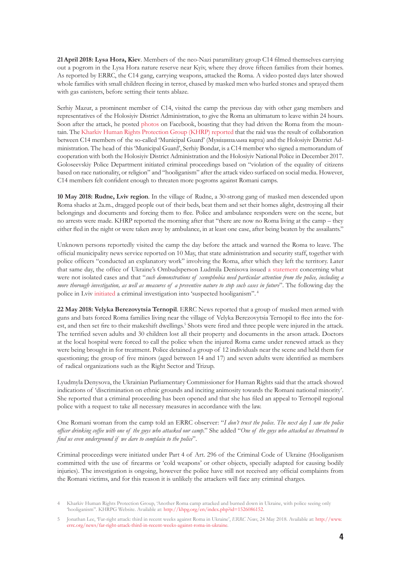**21April 2018: Lysa Hora, Kiev**. Members of the neo-Nazi paramilitary group C14 filmed themselves carrying out a pogrom in the Lysa Hora nature reserve near Kyiv, where they drove fifteen families from their homes. As reported by ERRC, the C14 gang, carrying weapons, attacked the Roma. A video posted days later showed whole families with small children fleeing in terror, chased by masked men who hurled stones and sprayed them with gas canisters, before setting their tents ablaze.

Serhiy Mazur, a prominent member of C14, visited the camp the previous day with other gang members and representatives of the Holosiyiv District Administration, to give the Roma an ultimatum to leave within 24 hours. Soon after the attack, he posted [photos](https://www.facebook.com/yakovlev.danylo/posts/607857902908814) on Facebook, boasting that they had driven the Roma from the mountain. The [Kharkiv Human Rights Protection Group \(KHRP\) reported](http://khpg.org/en/index.php?id=1524441220) that the raid was the result of collaboration between C14 members of the so-called 'Municipal Guard' (Муніципальна варта) and the Holosiyiv District Administration. The head of this 'Municipal Guard', Serhiy Bondar, is a C14 member who signed a memorandum of cooperation with both the Holosiyiv District Administration and the Holosiyiv National Police in December 2017. Goloseevskiy Police Department initiated criminal proceedings based on "violation of the equality of citizens based on race nationality, or religion" and "hooliganism" after the attack video surfaced on social media. However, C14 members felt confident enough to threaten more pogroms against Romani camps.

**10 May 2018: Rudne, Lviv region**. In the village of Rudne, a 30-strong gang of masked men descended upon Roma shacks at 2a.m., dragged people out of their beds, beat them and set their homes alight, destroying all their belongings and documents and forcing them to flee. Police and ambulance responders were on the scene, but no arrests were made. KHRP reported the morning after that "there are now no Roma living at the camp – they either fled in the night or were taken away by ambulance, in at least one case, after being beaten by the assailants."

Unknown persons reportedly visited the camp the day before the attack and warned the Roma to leave. The official municipality news service reported on 10 May, that state administration and security staff, together with police officers "conducted an explanatory work" involving the Roma, after which they left the territory. Later that same day, the office of Ukraine's Ombudsperson Ludmila Denisova issued [a statement](http://www.ombudsman.gov.ua/ua/all-news/pr/10518-dq-na-perekonannya-upovnovazhenogo-nepoodinoki-proyavi-ksenofobiii-potre/) concerning what were not isolated cases and that "*such demonstrations of xenophobia need particular attention from the police, including a more thorough investigation, as well as measures of a preventive nature to stop such cases in future*". The following day the police in Lviv [initiated](https://lv.npu.gov.ua/news/xuliganstva/za-faktom-pozhezhi-u-stixijnomu-poselenni-u-lvovi-vidkrito-kriminalne-pradzhennya/) a criminal investigation into 'suspected hooliganism". 4

**22 May 2018: Velyka Berezovytsia Ternopil**. ERRC News reported that a group of masked men armed with guns and bats forced Roma families living near the village of Velyka Berezovytsia Ternopil to flee into the forest, and then set fire to their makeshift dwellings.<sup>5</sup> Shots were fired and three people were injured in the attack. The terrified seven adults and 30 children lost all their property and documents in the arson attack. Doctors at the local hospital were forced to call the police when the injured Roma came under renewed attack as they were being brought in for treatment. Police detained a group of 12 individuals near the scene and held them for questioning; the group of five minors (aged between 14 and 17) and seven adults were identified as members of radical organizations such as the Right Sector and Trizup.

Lyudmyla Denysova, the Ukrainian Parliamentary Commissioner for Human Rights said that the attack showed indications of 'discrimination on ethnic grounds and inciting animosity towards the Romani national minority'. She reported that a criminal proceeding has been opened and that she has filed an appeal to Ternopil regional police with a request to take all necessary measures in accordance with the law.

One Romani woman from the camp told an ERRC observer: "*I don't trust the police*. *The next day I saw the police officer drinking coffee with one of the guys who attacked our camp*." She added "*One of the guys who attacked us threatened to find us even underground if we dare to complain to the police*".

Criminal proceedings were initiated under Part 4 of Art. 296 of the Criminal Code of Ukraine (Hooliganism committed with the use of firearms or 'cold weapons' or other objects, specially adapted for causing bodily injuries). The investigation is ongoing, however the police have still not received any official complaints from the Romani victims, and for this reason it is unlikely the attackers will face any criminal charges.

<sup>4</sup> Kharkiv Human Rights Protection Group, 'Another Roma camp attacked and burned down in Ukraine, with police seeing only 'hooliganism''. KHRPG Website. Available at: <http://khpg.org/en/index.php?id=1526086152>.

<sup>5</sup> Jonathan Lee, 'Far-right attack: third in recent weeks against Roma in Ukraine', *ERRC News*, 24 May 2018. Available at: [http://www.](http://www.errc.org/news/far-right-attack-third-in-recent-weeks-against-roma-in-ukraine) [errc.org/news/far-right-attack-third-in-recent-weeks-against-roma-in-ukraine](http://www.errc.org/news/far-right-attack-third-in-recent-weeks-against-roma-in-ukraine).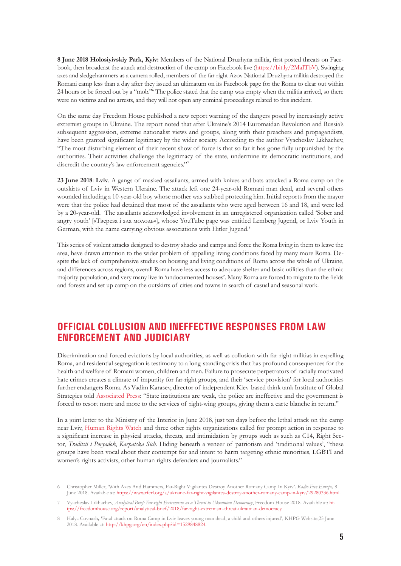**8 June 2018 Holosiyivskiy Park, Kyiv:** Members of the National Druzhyna militia, first posted threats on Facebook, then broadcast the attack and destruction of the camp on Facebook live [\(https://bit.ly/2MaITbV](https://bit.ly/2MaITbV)). Swinging axes and sledgehammers as a camera rolled, members of the far-right Azov National Druzhyna militia destroyed the Romani camp less than a day after they issued an ultimatum on its Facebook page for the Roma to clear out within 24 hours or be forced out by a "mob."6 The police stated that the camp was empty when the militia arrived, so there were no victims and no arrests, and they will not open any criminal proceedings related to this incident.

On the same day Freedom House published a new report warning of the dangers posed by increasingly active extremist groups in Ukraine. The report noted that after Ukraine's 2014 Euromaidan Revolution and Russia's subsequent aggression, extreme nationalist views and groups, along with their preachers and propagandists, have been granted significant legitimacy by the wider society. According to the author Vyacheslav Likhachev, "The most disturbing element of their recent show of force is that so far it has gone fully unpunished by the authorities. Their activities challenge the legitimacy of the state, undermine its democratic institutions, and discredit the country's law enforcement agencies."7

**23 June 2018**: **Lviv**. A gangs of masked assailants, armed with knives and bats attacked a Roma camp on the outskirts of Lviv in Western Ukraine. The attack left one 24-year-old Romani man dead, and several others wounded including a 10-year-old boy whose mother was stabbed protecting him. Initial reports from the mayor were that the police had detained that most of the assailants who were aged between 16 and 18, and were led by a 20-year-old. The assailants acknowledged involvement in an unregistered organization called 'Sober and angry youth' [«Твереза і зла молодь»], whose YouTube page was entitled Lemberg Jugend, or Lviv Youth in German, with the name carrying obvious associations with Hitler Jugend.<sup>8</sup>

This series of violent attacks designed to destroy shacks and camps and force the Roma living in them to leave the area, have drawn attention to the wider problem of appalling living conditions faced by many more Roma. Despite the lack of comprehensive studies on housing and living conditions of Roma across the whole of Ukraine, and differences across regions, overall Roma have less access to adequate shelter and basic utilities than the ethnic majority population, and very many live in 'undocumented houses'. Many Roma are forced to migrate to the fields and forests and set up camp on the outskirts of cities and towns in search of casual and seasonal work.

#### **OFFICIAL COLLUSION AND INEFFECTIVE RESPONSES FROM LAW ENFORCEMENT AND JUDICIARY**

Discrimination and forced evictions by local authorities, as well as collusion with far-right militias in expelling Roma, and residential segregation is testimony to a long-standing crisis that has profound consequences for the health and welfare of Romani women, children and men. Failure to prosecute perpetrators of racially motivated hate crimes creates a climate of impunity for far-right groups, and their 'service provision' for local authorities further endangers Roma. As Vadim Karasev, director of independent Kiev-based think tank Institute of Global Strategies told [Associated Press](https://apnews.com/68d5fc9c0f7f41678250f19bb4c9260d): "State institutions are weak, the police are ineffective and the government is forced to resort more and more to the services of right-wing groups, giving them a carte blanche in return."

In a joint letter to the Ministry of the Interior in June 2018, just ten days before the lethal attack on the camp near Lviv, [Human Rights Watch](https://www.hrw.org/news/2018/06/14/joint-letter-ukraines-minister-interior-affairs-and-prosecutor-general-concerning) and three other rights organizations called for prompt action in response to a significant increase in physical attacks, threats, and intimidation by groups such as such as C14, Right Sector, *Traditsii i Poryadok*, *Karpatska Sich*. Hiding beneath a veneer of patriotism and 'traditional values', "these groups have been vocal about their contempt for and intent to harm targeting ethnic minorities, LGBTI and women's rights activists, other human rights defenders and journalists."

<sup>6</sup> Christopher Miller, 'With Axes And Hammers, Far-Right Vigilantes Destroy Another Romany Camp In Kyiv'. *Radio Free Europe,* 8 June 2018. Available at:<https://www.rferl.org/a/ukraine-far-right-vigilantes-destroy-another-romany-camp-in-kyiv/29280336.html>.

<sup>7</sup> Vyacheslav Likhachev, *Analytical Brief: Far-right Extremism as a Threat to Ukrainian Democracy*, Freedom House 2018. Available at: [ht](https://freedomhouse.org/report/analytical-brief/2018/far-right-extremism-threat-ukrainian-democracy)[tps://freedomhouse.org/report/analytical-brief/2018/far-right-extremism-threat-ukrainian-democracy](https://freedomhouse.org/report/analytical-brief/2018/far-right-extremism-threat-ukrainian-democracy).

<sup>8</sup> Halya Coynash**, '**Fatal attack on Roma Camp in Lviv leaves young man dead, a child and others injured', KHPG Website,25 June 2018. Available at:<http://khpg.org/en/index.php?id=1529848824>.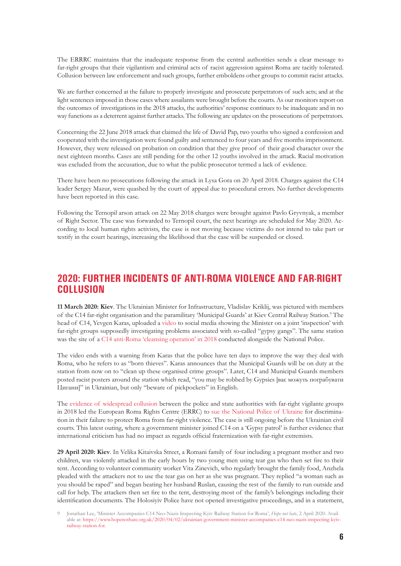The ERRRC maintains that the inadequate response from the central authorities sends a clear message to far-right groups that their vigilantism and criminal acts of racist aggression against Roma are tacitly tolerated. Collusion between law enforcement and such groups, further emboldens other groups to commit racist attacks.

We are further concerned at the failure to properly investigate and prosecute perpetrators of such acts; and at the light sentences imposed in those cases where assailants were brought before the courts. As our monitors report on the outcomes of investigations in the 2018 attacks, the authorities' response continues to be inadequate and in no way functions as a deterrent against further attacks. The following are updates on the prosecutions of perpetrators.

Concerning the 22 June 2018 attack that claimed the life of David Pap, two youths who signed a confession and cooperated with the investigation were found guilty and sentenced to four years and five months imprisonment. However, they were released on probation on condition that they give proof of their good character over the next eighteen months. Cases are still pending for the other 12 youths involved in the attack. Racial motivation was excluded from the accusation, due to what the public prosecutor termed a lack of evidence.

There have been no prosecutions following the attack in Lysa Gora on 20 April 2018. Charges against the C14 leader Sergey Mazur, were quashed by the court of appeal due to procedural errors. No further developments have been reported in this case.

Following the Ternopil arson attack on 22 May 2018 charges were brought against Pavlo Gryvnyak, a member of Right Sector. The case was forwarded to Ternopil court, the next hearings are scheduled for May 2020. According to local human rights activists, the case is not moving because victims do not intend to take part or testify in the court hearings, increasing the likelihood that the case will be suspended or closed.

#### **2020: FURTHER INCIDENTS OF ANTI-ROMA VIOLENCE AND FAR-RIGHT COLLUSION**

**11 March 2020: Kiev**. The Ukrainian Minister for Infrastructure, Vladislav Kriklij, was pictured with members of the C14 far-right organisation and the paramilitary 'Municipal Guards' at Kiev Central Railway Station.<sup>9</sup> The head of C14, Yevgen Karas, uploaded a [video](https://youtu.be/xmJptWGcGA0) to social media showing the Minister on a joint 'inspection' with far-right groups supposedly investigating problems associated with so-called "gypsy gangs". The same station was the site of a [C14 anti-Roma 'cleansing operation' in 2018](https://112.international/ukraine-top-news/ukraines-far-right-c14-conducts-anti-roma-cleansing-operation-at-kyiv-train-station-33481.html) conducted alongside the National Police.

The video ends with a warning from Karas that the police have ten days to improve the way they deal with Roma, who he refers to as "born thieves". Karas announces that the Municipal Guards will be on duty at the station from now on to "clean up these organised crime groups". Later, C14 and Municipal Guards members posted racist posters around the station which read, "you may be robbed by Gypsies [вас можуть пограбувати Цигани]" in Ukrainian, but only "beware of pickpockets" in English.

The [evidence of widespread collusion](https://www.hopenothate.org.uk/2018/06/08/anti-roma-pogroms-ukraine-c14-tolerating-terror/) between the police and state authorities with far-right vigilante groups in 2018 led the European Roma Rights Centre (ERRC) to [sue the National Police of Ukraine](http://www.errc.org/press-releases/roma-sue-national-police-in-ukraine-after-far-right-attacks) for discrimination in their failure to protect Roma from far-right violence. The case is still ongoing before the Ukrainian civil courts. This latest outing, where a government minister joined C14 on a 'Gypsy patrol' is further evidence that international criticism has had no impact as regards official fraternization with far-right extremists.

**29 April 2020: Kiev**. In Velika Kitaivska Street, a Romani family of four including a pregnant mother and two children, was violently attacked in the early hours by two young men using tear gas who then set fire to their tent. According to volunteer community worker Vita Zinevich, who regularly brought the family food, Anzhela pleaded with the attackers not to use the tear gas on her as she was pregnant. They replied "a woman such as you should be raped" and began beating her husband Ruslan, causing the rest of the family to run outside and call for help. The attackers then set fire to the tent, destroying most of the family's belongings including their identification documents. The Holosiyiv Police have not opened investigative proceedings, and in a statement,

<sup>9</sup> Jonathan Lee, 'Minister Accompanies C14 Neo-Nazis Inspecting Kyiv Railway Station for Roma', *Hope not hate*, 2 April 2020. Available at: [https://www.hopenothate.org.uk/2020/04/02/ukrainian-government-minister-accompanies-c14-neo-nazis-inspecting-kyiv](https://www.hopenothate.org.uk/2020/04/02/ukrainian-government-minister-accompanies-c14-neo-nazis-inspecting-kyiv-railway-station-for)[railway-station-for](https://www.hopenothate.org.uk/2020/04/02/ukrainian-government-minister-accompanies-c14-neo-nazis-inspecting-kyiv-railway-station-for).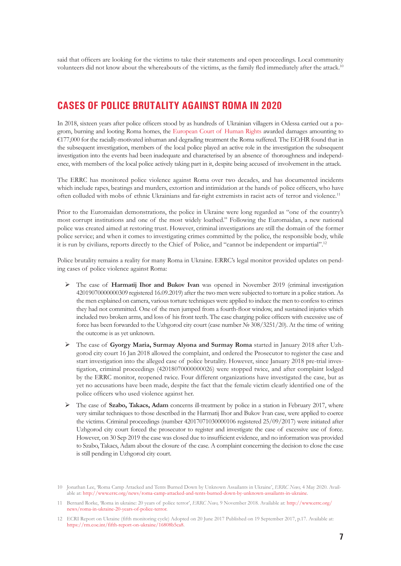said that officers are looking for the victims to take their statements and open proceedings. Local community volunteers did not know about the whereabouts of the victims, as the family fled immediately after the attack.<sup>10</sup>

#### **CASES OF POLICE BRUTALITY AGAINST ROMA IN 2020**

In 2018, sixteen years after police officers stood by as hundreds of Ukrainian villagers in Odessa carried out a pogrom, burning and looting Roma homes, the [European Court of Human Rights](http://www.errc.org/uploads/upload_en/file/judgment-burlya-and-others-v-ukraine.pdf) awarded damages amounting to €177,000 for the racially-motivated inhuman and degrading treatment the Roma suffered. The ECtHR found that in the subsequent investigation, members of the local police played an active role in the investigation the subsequent investigation into the events had been inadequate and characterised by an absence of thoroughness and independence, with members of the local police actively taking part in it, despite being accused of involvement in the attack.

The ERRC has monitored police violence against Roma over two decades, and has documented incidents which include rapes, beatings and murders, extortion and intimidation at the hands of police officers, who have often colluded with mobs of ethnic Ukrainians and far-right extremists in racist acts of terror and violence.<sup>11</sup>

Prior to the Euromaidan demonstrations, the police in Ukraine were long regarded as "one of the country's most corrupt institutions and one of the most widely loathed." Following the Euromaidan, a new national police was created aimed at restoring trust. However, criminal investigations are still the domain of the former police service; and when it comes to investigating crimes committed by the police, the responsible body, while it is run by civilians, reports directly to the Chief of Police, and "cannot be independent or impartial".12

Police brutality remains a reality for many Roma in Ukraine. ERRC's legal monitor provided updates on pending cases of police violence against Roma:

- ¾ The case of **Harmatij Ihor and Bukov Ivan** was opened in November 2019 (criminal investigation 42019070000000309 registered 16.09.2019) after the two men were subjected to torture in a police station. As the men explained on camera, various torture techniques were applied to induce the men to confess to crimes they had not committed. One of the men jumped from a fourth-floor window, and sustained injuries which included two broken arms, and loss of his front teeth. The case charging police officers with excessive use of force has been forwarded to the Uzhgorod city court (case number № 308/3251/20). At the time of writing the outcome is as yet unknown.
- ¾ The case of **Gyorgy Maria, Surmay Alyona and Surmay Roma** started in January 2018 after Uzhgorod city court 16 Jan 2018 allowed the complaint, and ordered the Prosecutor to register the case and start investigation into the alleged case of police brutality. However, since January 2018 pre-trial investigation, criminal proceedings (42018070000000026) were stopped twice, and after complaint lodged by the ERRC monitor, reopened twice. Four different organizations have investigated the case, but as yet no accusations have been made, despite the fact that the female victim clearly identified one of the police officers who used violence against her.
- ¾ The case of **Szabo, Takacs, Adam** concerns ill-treatment by police in a station in February 2017, where very similar techniques to those described in the Harmatij Ihor and Bukov Ivan case, were applied to coerce the victims. Criminal proceedings (number 42017071030000106 registered 25/09/2017) were initiated after Uzhgorod city court forced the prosecutor to register and investigate the case of excessive use of force. However, on 30 Sep 2019 the case was closed due to insufficient evidence, and no information was provided to Szabo, Takacs, Adam about the closure of the case. A complaint concerning the decision to close the case is still pending in Uzhgorod city court.

<sup>10</sup> Jonathan Lee, 'Roma Camp Attacked and Tents Burned Down by Unknown Assailants in Ukraine', *ERRC News,* 4 May 2020. Available at: <http://www.errc.org/news/roma-camp-attacked-and-tents-burned-down-by-unknown-assailants-in-ukraine>.

<sup>11</sup> Bernard Rorke, 'Roma in ukraine: 20 years of police terror', *ERRC News,* 9 November 2018. Available at: [http://www.errc.org/](http://www.errc.org/news/roma-camp-attacked-and-tents-burned-down-by-unknown-assailants-in-ukraine) [news/roma-in-ukraine-20-years-of-police-terror](http://www.errc.org/news/roma-camp-attacked-and-tents-burned-down-by-unknown-assailants-in-ukraine).

<sup>12</sup> ECRI Report on Ukraine (fifth monitoring cycle) Adopted on 20 June 2017 Published on 19 September 2017, p.17. Available at: [https://rm.coe.int/fifth-report-on-ukraine/16808b5ca8](http://www.errc.org/news/roma-camp-attacked-and-tents-burned-down-by-unknown-assailants-in-ukraine).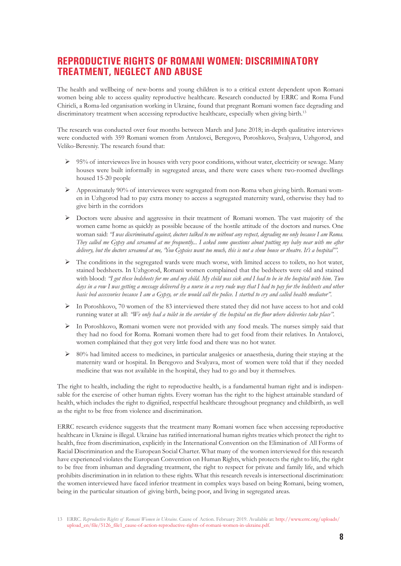#### **REPRODUCTIVE RIGHTS OF ROMANI WOMEN: DISCRIMINATORY TREATMENT, NEGLECT AND ABUSE**

The health and wellbeing of new-borns and young children is to a critical extent dependent upon Romani women being able to access quality reproductive healthcare. Research conducted by ERRC and Roma Fund Chiricli, a Roma-led organisation working in Ukraine, found that pregnant Romani women face degrading and discriminatory treatment when accessing reproductive healthcare, especially when giving birth.<sup>13</sup>

The research was conducted over four months between March and June 2018; in-depth qualitative interviews were conducted with 359 Romani women from Antalovci, Beregovo, Poroshkovo, Svalyava, Uzhgorod, and Veliko-Beresniy. The research found that:

- $\triangleright$  95% of interviewees live in houses with very poor conditions, without water, electricity or sewage. Many houses were built informally in segregated areas, and there were cases where two-roomed dwellings housed 15-20 people
- $\triangleright$  Approximately 90% of interviewees were segregated from non-Roma when giving birth. Romani women in Uzhgorod had to pay extra money to access a segregated maternity ward, otherwise they had to give birth in the corridors
- $\triangleright$  Doctors were abusive and aggressive in their treatment of Romani women. The vast majority of the women came home as quickly as possible because of the hostile attitude of the doctors and nurses. One woman said: *"I was discriminated against, doctors talked to me without any respect, degrading me only because I am Roma. They called me Gypsy and screamed at me frequently... I asked some questions about putting my baby near with me after delivery, but the doctors screamed at me, 'You Gypsies want too much, this is not a show house or theatre. It's a hospital'".*
- $\triangleright$  The conditions in the segregated wards were much worse, with limited access to toilets, no hot water, stained bedsheets. In Uzhgorod, Romani women complained that the bedsheets were old and stained with blood: *"I got these bedsheets for me and my child. My child was sick and I had to be in the hospital with him. Two*  days in a row I was getting a message delivered by a nurse in a very rude way that I had to pay for the bedsheets and other *basic bed accessories because I am a Gypsy, or she would call the police. I started to cry and called health mediator".*
- $\triangleright$  In Poroshkovo, 70 women of the 83 interviewed there stated they did not have access to hot and cold running water at all: *"We only had a toilet in the corridor of the hospital on the floor where deliveries take place".*
- ¾ In Poroshkovo, Romani women were not provided with any food meals. The nurses simply said that they had no food for Roma. Romani women there had to get food from their relatives. In Antalovci, women complained that they got very little food and there was no hot water.
- $\triangleright$  80% had limited access to medicines, in particular analgesics or anaesthesia, during their staying at the maternity ward or hospital. In Beregovo and Svalyava, most of women were told that if they needed medicine that was not available in the hospital, they had to go and buy it themselves.

The right to health, including the right to reproductive health, is a fundamental human right and is indispensable for the exercise of other human rights. Every woman has the right to the highest attainable standard of health, which includes the right to dignified, respectful healthcare throughout pregnancy and childbirth, as well as the right to be free from violence and discrimination.

ERRC research evidence suggests that the treatment many Romani women face when accessing reproductive healthcare in Ukraine is illegal. Ukraine has ratified international human rights treaties which protect the right to health, free from discrimination, explicitly in the International Convention on the Elimination of All Forms of Racial Discrimination and the European Social Charter. What many of the women interviewed for this research have experienced violates the European Convention on Human Rights, which protects the right to life, the right to be free from inhuman and degrading treatment, the right to respect for private and family life, and which prohibits discrimination in in relation to these rights. What this research reveals is intersectional discrimination: the women interviewed have faced inferior treatment in complex ways based on being Romani, being women, being in the particular situation of giving birth, being poor, and living in segregated areas.

<sup>13</sup> ERRC. *Reproductive Rights of Romani Women in Ukraine.* Cause of Action. February 2019. Available at: [http://www.errc.org/uploads/](http://www.errc.org/news/roma-camp-attacked-and-tents-burned-down-by-unknown-assailants-in-ukraine) [upload\\_en/file/5126\\_file1\\_cause-of-action-reproductive-rights-of-romani-women-in-ukraine.pdf](http://www.errc.org/news/roma-camp-attacked-and-tents-burned-down-by-unknown-assailants-in-ukraine).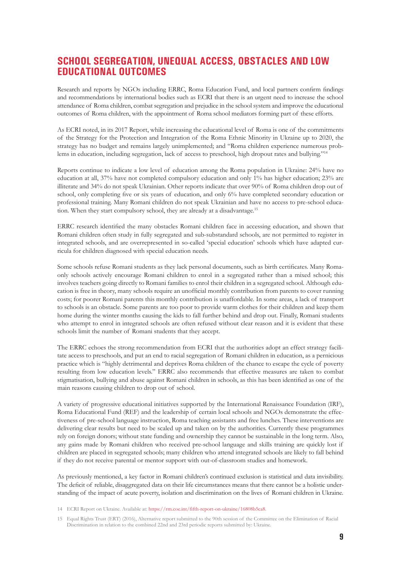### **SCHOOL SEGREGATION, UNEQUAL ACCESS, OBSTACLES AND LOW EDUCATIONAL OUTCOMES**

Research and reports by NGOs including ERRC, Roma Education Fund, and local partners confirm findings and recommendations by international bodies such as ECRI that there is an urgent need to increase the school attendance of Roma children, combat segregation and prejudice in the school system and improve the educational outcomes of Roma children, with the appointment of Roma school mediators forming part of these efforts.

As ECRI noted, in its 2017 Report, while increasing the educational level of Roma is one of the commitments of the Strategy for the Protection and Integration of the Roma Ethnic Minority in Ukraine up to 2020, the strategy has no budget and remains largely unimplemented; and "Roma children experience numerous problems in education, including segregation, lack of access to preschool, high dropout rates and bullying."14

Reports continue to indicate a low level of education among the Roma population in Ukraine: 24% have no education at all, 37% have not completed compulsory education and only 1% has higher education; 23% are illiterate and 34% do not speak Ukrainian. Other reports indicate that over 90% of Roma children drop out of school, only completing five or six years of education, and only 6% have completed secondary education or professional training. Many Romani children do not speak Ukrainian and have no access to pre-school education. When they start compulsory school, they are already at a disadvantage.15

ERRC research identified the many obstacles Romani children face in accessing education, and shown that Romani children often study in fully segregated and sub-substandard schools, are not permitted to register in integrated schools, and are overrepresented in so-called 'special education' schools which have adapted curricula for children diagnosed with special education needs.

Some schools refuse Romani students as they lack personal documents, such as birth certificates. Many Romaonly schools actively encourage Romani children to enrol in a segregated rather than a mixed school; this involves teachers going directly to Romani families to enrol their children in a segregated school. Although education is free in theory, many schools require an unofficial monthly contribution from parents to cover running costs; for poorer Romani parents this monthly contribution is unaffordable. In some areas, a lack of transport to schools is an obstacle. Some parents are too poor to provide warm clothes for their children and keep them home during the winter months causing the kids to fall further behind and drop out. Finally, Romani students who attempt to enrol in integrated schools are often refused without clear reason and it is evident that these schools limit the number of Romani students that they accept.

The ERRC echoes the strong recommendation from ECRI that the authorities adopt an effect strategy facilitate access to preschools, and put an end to racial segregation of Romani children in education, as a pernicious practice which is "highly detrimental and deprives Roma children of the chance to escape the cycle of poverty resulting from low education levels." ERRC also recommends that effective measures are taken to combat stigmatisation, bullying and abuse against Romani children in schools, as this has been identified as one of the main reasons causing children to drop out of school.

A variety of progressive educational initiatives supported by the International Renaissance Foundation (IRF), Roma Educational Fund (REF) and the leadership of certain local schools and NGOs demonstrate the effectiveness of pre-school language instruction, Roma teaching assistants and free lunches. These interventions are delivering clear results but need to be scaled up and taken on by the authorities. Currently these programmes rely on foreign donors; without state funding and ownership they cannot be sustainable in the long term. Also, any gains made by Romani children who received pre-school language and skills training are quickly lost if children are placed in segregated schools; many children who attend integrated schools are likely to fall behind if they do not receive parental or mentor support with out-of-classroom studies and homework.

As previously mentioned, a key factor in Romani children's continued exclusion is statistical and data invisibility. The deficit of reliable, disaggregated data on their life circumstances means that there cannot be a holistic understanding of the impact of acute poverty, isolation and discrimination on the lives of Romani children in Ukraine.

14 ECRI Report on Ukraine. Available at: <https://rm.coe.int/fifth-report-on-ukraine/16808b5ca8>.

<sup>15</sup> Equal Rights Trust (ERT) (2016), Alternative report submitted to the 90th session of the Committee on the Elimination of Racial Discrimination in relation to the combined 22nd and 23rd periodic reports submitted by: Ukraine.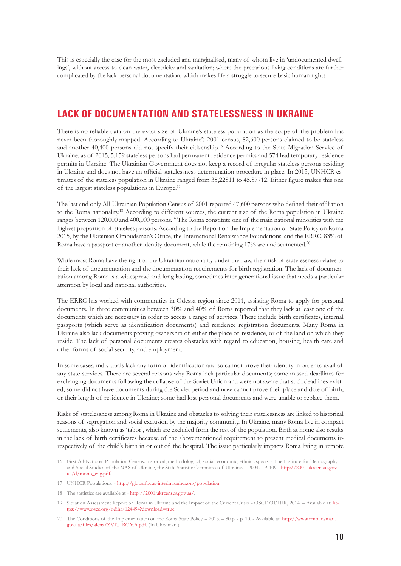This is especially the case for the most excluded and marginalised, many of whom live in 'undocumented dwellings', without access to clean water, electricity and sanitation; where the precarious living conditions are further complicated by the lack personal documentation, which makes life a struggle to secure basic human rights.

#### **LACK OF DOCUMENTATION AND STATELESSNESS IN UKRAINE**

There is no reliable data on the exact size of Ukraine's stateless population as the scope of the problem has never been thoroughly mapped. According to Ukraine's 2001 census, 82,600 persons claimed to be stateless and another 40,400 persons did not specify their citizenship.16 According to the State Migration Service of Ukraine, as of 2015, 5,159 stateless persons had permanent residence permits and 574 had temporary residence permits in Ukraine. The Ukrainian Government does not keep a record of irregular stateless persons residing in Ukraine and does not have an official statelessness determination procedure in place. In 2015, UNHCR estimates of the stateless population in Ukraine ranged from 35,22811 to 45,87712. Either figure makes this one of the largest stateless populations in Europe.17

The last and only All-Ukrainian Population Census of 2001 reported 47,600 persons who defined their affiliation to the Roma nationality.18 According to different sources, the current size of the Roma population in Ukraine ranges between 120,000 and 400,000 persons.<sup>19</sup> The Roma constitute one of the main national minorities with the highest proportion of stateless persons. According to the Report on the Implementation of State Policy on Roma 2015, by the Ukrainian Ombudsman's Office, the International Renaissance Foundations, and the ERRC, 83% of Roma have a passport or another identity document, while the remaining 17% are undocumented.<sup>20</sup>

While most Roma have the right to the Ukrainian nationality under the Law, their risk of statelessness relates to their lack of documentation and the documentation requirements for birth registration. The lack of documentation among Roma is a widespread and long lasting, sometimes inter-generational issue that needs a particular attention by local and national authorities.

The ERRC has worked with communities in Odessa region since 2011, assisting Roma to apply for personal documents. In three communities between 30% and 40% of Roma reported that they lack at least one of the documents which are necessary in order to access a range of services. These include birth certificates, internal passports (which serve as identification documents) and residence registration documents. Many Roma in Ukraine also lack documents proving ownership of either the place of residence, or of the land on which they reside. The lack of personal documents creates obstacles with regard to education, housing, health care and other forms of social security, and employment.

In some cases, individuals lack any form of identification and so cannot prove their identity in order to avail of any state services. There are several reasons why Roma lack particular documents; some missed deadlines for exchanging documents following the collapse of the Soviet Union and were not aware that such deadlines existed; some did not have documents during the Soviet period and now cannot prove their place and date of birth, or their length of residence in Ukraine; some had lost personal documents and were unable to replace them.

Risks of statelessness among Roma in Ukraine and obstacles to solving their statelessness are linked to historical reasons of segregation and social exclusion by the majority community. In Ukraine, many Roma live in compact settlements, also known as 'tabor', which are excluded from the rest of the population. Birth at home also results in the lack of birth certificates because of the abovementioned requirement to present medical documents irrespectively of the child's birth in or out of the hospital. The issue particularly impacts Roma living in remote

- 16 First All-National Population Census: historical, methodological, social, economic, ethnic aspects. The Institute for Demography and Social Studies of the NAS of Ukraine, the State Statistic Committee of Ukraine. – 2004. - P. 109 - [http://2001.ukrcensus.gov.](http://www.errc.org/news/roma-camp-attacked-and-tents-burned-down-by-unknown-assailants-in-ukraine) [ua/d/mono\\_eng.pdf](http://www.errc.org/news/roma-camp-attacked-and-tents-burned-down-by-unknown-assailants-in-ukraine).
- 17 UNHCR Populations. [http://globalfocus-interim.unhcr.org/population](http://www.errc.org/news/roma-camp-attacked-and-tents-burned-down-by-unknown-assailants-in-ukraine).
- 18 The statistics are available at [http://2001.ukrcensus.gov.ua/](http://www.errc.org/news/roma-camp-attacked-and-tents-burned-down-by-unknown-assailants-in-ukraine).
- 19 Situation Assessment Report on Roma in Ukraine and the Impact of the Current Crisis. OSCE ODIHR, 2014. Available at: [ht](http://www.errc.org/news/roma-camp-attacked-and-tents-burned-down-by-unknown-assailants-in-ukraine)[tps://www.osce.org/odihr/124494?download=true](http://www.errc.org/news/roma-camp-attacked-and-tents-burned-down-by-unknown-assailants-in-ukraine).
- 20 The Conditions of the Implementation on the Roma State Policy. 2015. 80 p. p. 10. Available at: [http://www.ombudsman.](http://www.errc.org/news/roma-camp-attacked-and-tents-burned-down-by-unknown-assailants-in-ukraine) [gov.ua/files/alena/ZVIT\\_ROMA.pdf](http://www.errc.org/news/roma-camp-attacked-and-tents-burned-down-by-unknown-assailants-in-ukraine). (In Ukrainian.)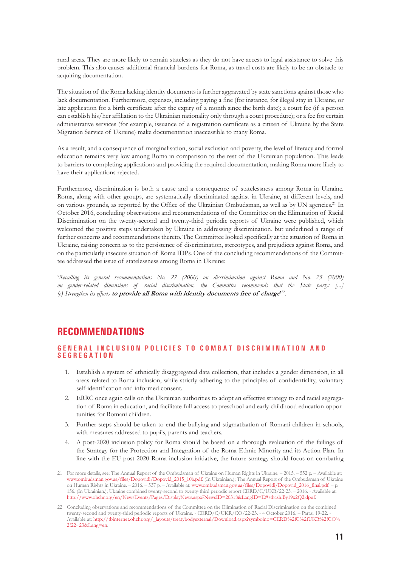rural areas. They are more likely to remain stateless as they do not have access to legal assistance to solve this problem. This also causes additional financial burdens for Roma, as travel costs are likely to be an obstacle to acquiring documentation.

The situation of the Roma lacking identity documents is further aggravated by state sanctions against those who lack documentation. Furthermore, expenses, including paying a fine (for instance, for illegal stay in Ukraine, or late application for a birth certificate after the expiry of a month since the birth date); a court fee (if a person can establish his/her affiliation to the Ukrainian nationality only through a court procedure); or a fee for certain administrative services (for example, issuance of a registration certificate as a citizen of Ukraine by the State Migration Service of Ukraine) make documentation inaccessible to many Roma.

As a result, and a consequence of marginalisation, social exclusion and poverty, the level of literacy and formal education remains very low among Roma in comparison to the rest of the Ukrainian population. This leads to barriers to completing applications and providing the required documentation, making Roma more likely to have their applications rejected.

Furthermore, discrimination is both a cause and a consequence of statelessness among Roma in Ukraine. Roma, along with other groups, are systematically discriminated against in Ukraine, at different levels, and on various grounds, as reported by the Office of the Ukrainian Ombudsman, as well as by UN agencies.<sup>21</sup> In October 2016, concluding observations and recommendations of the Committee on the Elimination of Racial Discrimination on the twenty-second and twenty-third periodic reports of Ukraine were published, which welcomed the positive steps undertaken by Ukraine in addressing discrimination, but underlined a range of further concerns and recommendations thereto. The Committee looked specifically at the situation of Roma in Ukraine, raising concern as to the persistence of discrimination, stereotypes, and prejudices against Roma, and on the particularly insecure situation of Roma IDPs. One of the concluding recommendations of the Committee addressed the issue of statelessness among Roma in Ukraine:

'*Recalling its general recommendations No. 27 (2000) on discrimination against Roma and No. 25 (2000) on gender-related dimensions of racial discrimination, the Committee recommends that the State party: [...] (e) Strengthen its efforts* **to provide all Roma with identity documents free of charge**' 22.

#### **RECOMMENDATIONS**

#### **GENERAL INCLUSION POLICIES TO COMBAT DISCRIMINATION AND S E G R E G A T I O N**

- 1. Establish a system of ethnically disaggregated data collection, that includes a gender dimension, in all areas related to Roma inclusion, while strictly adhering to the principles of confidentiality, voluntary self-identification and informed consent.
- 2. ERRC once again calls on the Ukrainian authorities to adopt an effective strategy to end racial segregation of Roma in education, and facilitate full access to preschool and early childhood education opportunities for Romani children.
- 3. Further steps should be taken to end the bullying and stigmatization of Romani children in schools, with measures addressed to pupils, parents and teachers.
- 4. A post-2020 inclusion policy for Roma should be based on a thorough evaluation of the failings of the Strategy for the Protection and Integration of the Roma Ethnic Minority and its Action Plan. In line with the EU post-2020 Roma inclusion initiative, the future strategy should focus on combating

<sup>21</sup> For more details, see: The Annual Report of the Ombudsman of Ukraine on Human Rights in Ukraine. – 2015. – 552 p. – Available at: [www.ombudsman.gov.ua/files/Dopovidi/Dopovid\\_2015\\_10b.pdf](http://www.errc.org/news/roma-camp-attacked-and-tents-burned-down-by-unknown-assailants-in-ukraine). (In Ukrainian.); The Annual Report of the Ombudsman of Ukraine on Human Rights in Ukraine. – 2016. – 537 p. – Available at: [www.ombudsman.gov.ua/files/Dopovidi/Dopovid\\_2016\\_final.pdf](http://www.errc.org/news/roma-camp-attacked-and-tents-burned-down-by-unknown-assailants-in-ukraine). – p. 156. (In Ukrainian.); Ukraine combined twenty-second to twenty-third periodic report CERD/C/UKR/22-23. – 2016. - Available at: [http://www.ohchr.org/en/NewsEvents/Pages/DisplayNews.aspx?NewsID=20318&LangID=E#sthash.By19x2Q2.dpuf](http://www.errc.org/news/roma-camp-attacked-and-tents-burned-down-by-unknown-assailants-in-ukraine).

<sup>22</sup> Concluding observations and recommendations of the Committee on the Elimination of Racial Discrimination on the combined twenty-second and twenty-third periodic reports of Ukraine. - CERD/C/UKR/CO/22-23. - 4 October 2016. – Paras. 19-22. Available at: [http://tbinternet.ohchr.org/\\_layouts/treatybodyexternal/Download.aspx?symbolno=CERD%2fC%2fUKR%2fCO%](http://www.errc.org/news/roma-camp-attacked-and-tents-burned-down-by-unknown-assailants-in-ukraine) [2f22- 23&Lang=en](http://www.errc.org/news/roma-camp-attacked-and-tents-burned-down-by-unknown-assailants-in-ukraine).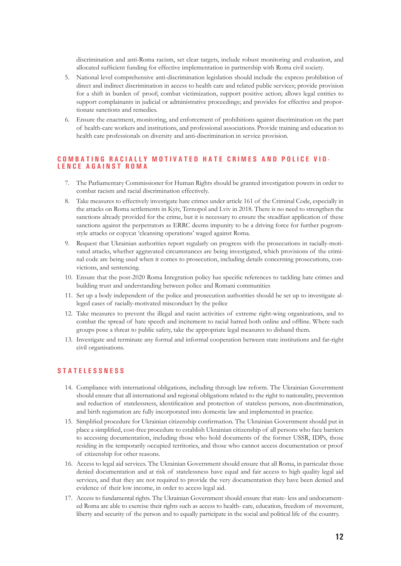discrimination and anti-Roma racism, set clear targets, include robust monitoring and evaluation, and allocated sufficient funding for effective implementation in partnership with Roma civil society.

- 5. National level comprehensive anti-discrimination legislation should include the express prohibition of direct and indirect discrimination in access to health care and related public services; provide provision for a shift in burden of proof; combat victimization, support positive action; allows legal entities to support complainants in judicial or administrative proceedings; and provides for effective and proportionate sanctions and remedies.
- 6. Ensure the enactment, monitoring, and enforcement of prohibitions against discrimination on the part of health-care workers and institutions, and professional associations. Provide training and education to health care professionals on diversity and anti-discrimination in service provision.

# **C O M B A T I N G R A C I A L L Y M O T I V A T E D H A T E C R I M E S A N D P O L I C E V I O - L E N C E A G A I N S T R O M A**

- 7. The Parliamentary Commissioner for Human Rights should be granted investigation powers in order to combat racism and racial discrimination effectively.
- 8. Take measures to effectively investigate hate crimes under article 161 of the Criminal Code, especially in the attacks on Roma settlements in Kyiv, Ternopol and Lviv in 2018. There is no need to strengthen the sanctions already provided for the crime, but it is necessary to ensure the steadfast application of these sanctions against the perpetrators as ERRC deems impunity to be a driving force for further pogromstyle attacks or copycat 'cleansing operations' waged against Roma.
- 9. Request that Ukrainian authorities report regularly on progress with the prosecutions in racially-motivated attacks, whether aggravated circumstances are being investigated, which provisions of the criminal code are being used when it comes to prosecution, including details concerning prosecutions, convictions, and sentencing.
- 10. Ensure that the post-2020 Roma Integration policy has specific references to tackling hate crimes and building trust and understanding between police and Romani communities
- 11. Set up a body independent of the police and prosecution authorities should be set up to investigate alleged cases of racially-motivated misconduct by the police
- 12. Take measures to prevent the illegal and racist activities of extreme right-wing organizations, and to combat the spread of hate speech and incitement to racial hatred both online and offline. Where such groups pose a threat to public safety, take the appropriate legal measures to disband them.
- 13. Investigate and terminate any formal and informal cooperation between state institutions and far-right civil organisations.

#### **S T A T E L E S S N E S S**

- 14. Compliance with international obligations, including through law reform. The Ukrainian Government should ensure that all international and regional obligations related to the right to nationality, prevention and reduction of statelessness, identification and protection of stateless persons, non-discrimination, and birth registration are fully incorporated into domestic law and implemented in practice.
- 15. Simplified procedure for Ukrainian citizenship confirmation. The Ukrainian Government should put in place a simplified, cost-free procedure to establish Ukrainian citizenship of all persons who face barriers to accessing documentation, including those who hold documents of the former USSR, IDPs, those residing in the temporarily occupied territories, and those who cannot access documentation or proof of citizenship for other reasons.
- 16. Access to legal aid services. The Ukrainian Government should ensure that all Roma, in particular those denied documentation and at risk of statelessness have equal and fair access to high quality legal aid services, and that they are not required to provide the very documentation they have been denied and evidence of their low income, in order to access legal aid.
- 17. Access to fundamental rights. The Ukrainian Government should ensure that state- less and undocumented Roma are able to exercise their rights such as access to health- care, education, freedom of movement, liberty and security of the person and to equally participate in the social and political life of the country.